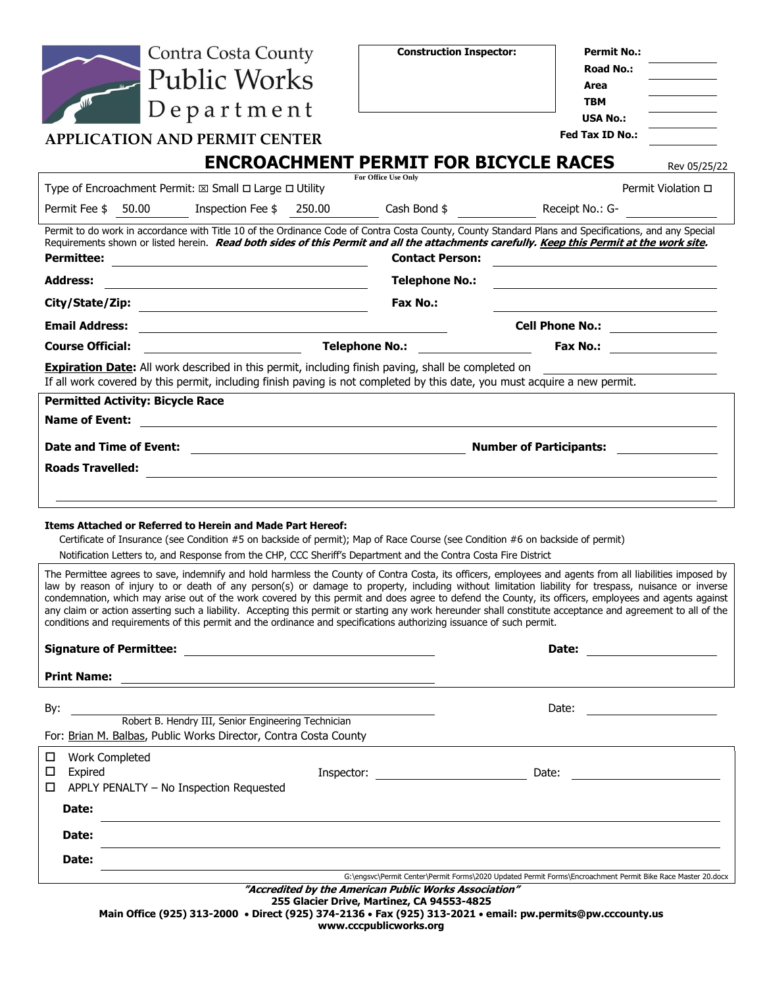| <b>Contra Costa County</b>                                                                                                                                                                                                                                                                                                                                                                                                                                                                                                                                                                                                                                                                                                                                       | <b>Construction Inspector:</b>                                                                      | <b>Permit No.:</b>                                                                                                                 |
|------------------------------------------------------------------------------------------------------------------------------------------------------------------------------------------------------------------------------------------------------------------------------------------------------------------------------------------------------------------------------------------------------------------------------------------------------------------------------------------------------------------------------------------------------------------------------------------------------------------------------------------------------------------------------------------------------------------------------------------------------------------|-----------------------------------------------------------------------------------------------------|------------------------------------------------------------------------------------------------------------------------------------|
| <b>Public Works</b>                                                                                                                                                                                                                                                                                                                                                                                                                                                                                                                                                                                                                                                                                                                                              |                                                                                                     | <b>Road No.:</b>                                                                                                                   |
|                                                                                                                                                                                                                                                                                                                                                                                                                                                                                                                                                                                                                                                                                                                                                                  |                                                                                                     | Area<br>TBM                                                                                                                        |
| $Depart$ ment                                                                                                                                                                                                                                                                                                                                                                                                                                                                                                                                                                                                                                                                                                                                                    |                                                                                                     | <b>USA No.:</b>                                                                                                                    |
| <b>APPLICATION AND PERMIT CENTER</b>                                                                                                                                                                                                                                                                                                                                                                                                                                                                                                                                                                                                                                                                                                                             |                                                                                                     | Fed Tax ID No.:                                                                                                                    |
|                                                                                                                                                                                                                                                                                                                                                                                                                                                                                                                                                                                                                                                                                                                                                                  | <b>ENCROACHMENT PERMIT FOR BICYCLE RACES</b>                                                        | Rev 05/25/22                                                                                                                       |
| Type of Encroachment Permit: $\boxtimes$ Small $\Box$ Large $\Box$ Utility                                                                                                                                                                                                                                                                                                                                                                                                                                                                                                                                                                                                                                                                                       | For Office Use Only                                                                                 | Permit Violation □                                                                                                                 |
| Permit Fee \$ 50.00<br>Inspection Fee \$250.00                                                                                                                                                                                                                                                                                                                                                                                                                                                                                                                                                                                                                                                                                                                   | Cash Bond $$$                                                                                       | Receipt No.: G-                                                                                                                    |
| Permit to do work in accordance with Title 10 of the Ordinance Code of Contra Costa County, County Standard Plans and Specifications, and any Special<br>Requirements shown or listed herein. Read both sides of this Permit and all the attachments carefully. Keep this Permit at the work site.<br><b>Permittee:</b>                                                                                                                                                                                                                                                                                                                                                                                                                                          | <b>Contact Person:</b>                                                                              |                                                                                                                                    |
| <b>Address:</b>                                                                                                                                                                                                                                                                                                                                                                                                                                                                                                                                                                                                                                                                                                                                                  | <b>Telephone No.:</b>                                                                               |                                                                                                                                    |
| City/State/Zip:                                                                                                                                                                                                                                                                                                                                                                                                                                                                                                                                                                                                                                                                                                                                                  | <b>Fax No.:</b>                                                                                     |                                                                                                                                    |
| <b>Email Address:</b><br><u> 1989 - Johann Stoff, deutscher Stoffen und der Stoffen und der Stoffen und der Stoffen und der Stoffen und der</u>                                                                                                                                                                                                                                                                                                                                                                                                                                                                                                                                                                                                                  |                                                                                                     | Cell Phone No.: ________________                                                                                                   |
| $\overline{\phantom{a}}$ and $\overline{\phantom{a}}$ and $\overline{\phantom{a}}$ and $\overline{\phantom{a}}$<br><b>Course Official:</b>                                                                                                                                                                                                                                                                                                                                                                                                                                                                                                                                                                                                                       | <b>Telephone No.:</b>                                                                               |                                                                                                                                    |
| <b>Expiration Date:</b> All work described in this permit, including finish paving, shall be completed on<br>If all work covered by this permit, including finish paving is not completed by this date, you must acquire a new permit.                                                                                                                                                                                                                                                                                                                                                                                                                                                                                                                           |                                                                                                     |                                                                                                                                    |
| <b>Permitted Activity: Bicycle Race</b>                                                                                                                                                                                                                                                                                                                                                                                                                                                                                                                                                                                                                                                                                                                          |                                                                                                     |                                                                                                                                    |
| <b>Name of Event:</b><br><u> 1989 - Andrea State Barbara, amerikan personal di sebagai personal di sebagai personal di sebagai personal d</u>                                                                                                                                                                                                                                                                                                                                                                                                                                                                                                                                                                                                                    |                                                                                                     |                                                                                                                                    |
| <b>Number of Participants:</b>                                                                                                                                                                                                                                                                                                                                                                                                                                                                                                                                                                                                                                                                                                                                   |                                                                                                     |                                                                                                                                    |
| <b>Roads Travelled:</b>                                                                                                                                                                                                                                                                                                                                                                                                                                                                                                                                                                                                                                                                                                                                          |                                                                                                     |                                                                                                                                    |
|                                                                                                                                                                                                                                                                                                                                                                                                                                                                                                                                                                                                                                                                                                                                                                  |                                                                                                     |                                                                                                                                    |
|                                                                                                                                                                                                                                                                                                                                                                                                                                                                                                                                                                                                                                                                                                                                                                  |                                                                                                     |                                                                                                                                    |
| Items Attached or Referred to Herein and Made Part Hereof:<br>Certificate of Insurance (see Condition #5 on backside of permit); Map of Race Course (see Condition #6 on backside of permit)<br>Notification Letters to, and Response from the CHP, CCC Sheriff's Department and the Contra Costa Fire District                                                                                                                                                                                                                                                                                                                                                                                                                                                  |                                                                                                     |                                                                                                                                    |
| The Permittee agrees to save, indemnify and hold harmless the County of Contra Costa, its officers, employees and agents from all liabilities imposed by<br>law by reason of injury to or death of any person(s) or damage to property, including without limitation liability for trespass, nuisance or inverse<br>condemnation, which may arise out of the work covered by this permit and does agree to defend the County, its officers, employees and agents against<br>any claim or action asserting such a liability. Accepting this permit or starting any work hereunder shall constitute acceptance and agreement to all of the<br>conditions and requirements of this permit and the ordinance and specifications authorizing issuance of such permit. |                                                                                                     |                                                                                                                                    |
|                                                                                                                                                                                                                                                                                                                                                                                                                                                                                                                                                                                                                                                                                                                                                                  |                                                                                                     |                                                                                                                                    |
|                                                                                                                                                                                                                                                                                                                                                                                                                                                                                                                                                                                                                                                                                                                                                                  |                                                                                                     |                                                                                                                                    |
|                                                                                                                                                                                                                                                                                                                                                                                                                                                                                                                                                                                                                                                                                                                                                                  |                                                                                                     |                                                                                                                                    |
| By:<br>Robert B. Hendry III, Senior Engineering Technician                                                                                                                                                                                                                                                                                                                                                                                                                                                                                                                                                                                                                                                                                                       |                                                                                                     | Date:<br><u> Listen van die Stad van die Stad van die Stad van die Stad van die Stad van die Stad van die Stad van die Stad va</u> |
| For: Brian M. Balbas, Public Works Director, Contra Costa County                                                                                                                                                                                                                                                                                                                                                                                                                                                                                                                                                                                                                                                                                                 |                                                                                                     |                                                                                                                                    |
| □<br><b>Work Completed</b><br>□<br>Expired                                                                                                                                                                                                                                                                                                                                                                                                                                                                                                                                                                                                                                                                                                                       |                                                                                                     |                                                                                                                                    |
| APPLY PENALTY - No Inspection Requested                                                                                                                                                                                                                                                                                                                                                                                                                                                                                                                                                                                                                                                                                                                          |                                                                                                     |                                                                                                                                    |
| Date:                                                                                                                                                                                                                                                                                                                                                                                                                                                                                                                                                                                                                                                                                                                                                            |                                                                                                     |                                                                                                                                    |
| Date:<br><u> 1989 - Johann Stoff, amerikansk politiker (d. 1989)</u>                                                                                                                                                                                                                                                                                                                                                                                                                                                                                                                                                                                                                                                                                             |                                                                                                     |                                                                                                                                    |
| Date:                                                                                                                                                                                                                                                                                                                                                                                                                                                                                                                                                                                                                                                                                                                                                            |                                                                                                     |                                                                                                                                    |
|                                                                                                                                                                                                                                                                                                                                                                                                                                                                                                                                                                                                                                                                                                                                                                  | "Accredited by the American Public Works Association"<br>255 Glacier Drive, Martinez, CA 94553-4825 | G:\engsvc\Permit Center\Permit Forms\2020 Updated Permit Forms\Encroachment Permit Bike Race Master 20.docx                        |

**Main Office (925) 313-2000** • **Direct (925) 374-2136** • **Fax (925) 313-2021** • **email: pw.permits@pw.cccounty.us www.cccpublicworks.org**